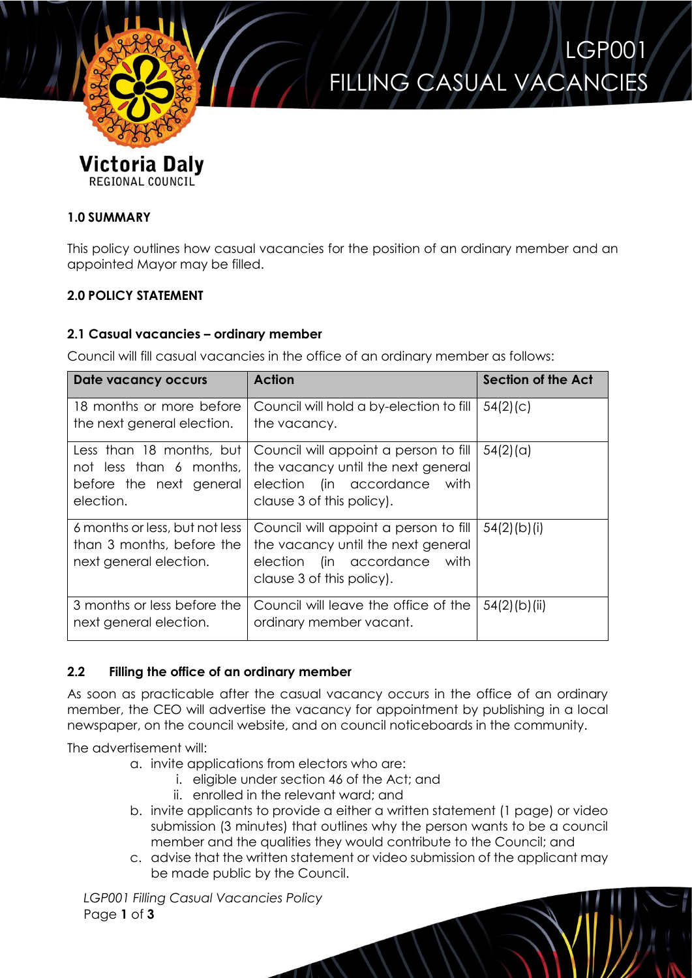

REGIONAL COUNCIL

LGP001 FILLING CASUAL VACANCIES

# **1.0 SUMMARY**

This policy outlines how casual vacancies for the position of an ordinary member and an appointed Mayor may be filled.

# **2.0 POLICY STATEMENT**

### **2.1 Casual vacancies – ordinary member**

Council will fill casual vacancies in the office of an ordinary member as follows:

| Date vacancy occurs                                                                         | <b>Action</b>                                                                                                                               | Section of the Act |
|---------------------------------------------------------------------------------------------|---------------------------------------------------------------------------------------------------------------------------------------------|--------------------|
| 18 months or more before<br>the next general election.                                      | Council will hold a by-election to fill<br>the vacancy.                                                                                     | 54(2)(c)           |
| Less than 18 months, but<br>not less than 6 months,<br>before the next general<br>election. | Council will appoint a person to fill<br>the vacancy until the next general<br>election (in accordance<br>with<br>clause 3 of this policy). | 54(2)(a)           |
| 6 months or less, but not less<br>than 3 months, before the<br>next general election.       | Council will appoint a person to fill<br>the vacancy until the next general<br>election (in accordance with<br>clause 3 of this policy).    | $54(2)$ (b)(i)     |
| 3 months or less before the<br>next general election.                                       | Council will leave the office of the<br>ordinary member vacant.                                                                             | $54(2)$ (b)(ii)    |

# **2.2 Filling the office of an ordinary member**

As soon as practicable after the casual vacancy occurs in the office of an ordinary member, the CEO will advertise the vacancy for appointment by publishing in a local newspaper, on the council website, and on council noticeboards in the community.

The advertisement will:

- a. invite applications from electors who are:
	- i. eligible under section 46 of the Act; and
	- ii. enrolled in the relevant ward; and
- b. invite applicants to provide a either a written statement (1 page) or video submission (3 minutes) that outlines why the person wants to be a council member and the qualities they would contribute to the Council; and
- c. advise that the written statement or video submission of the applicant may be made public by the Council.

*LGP001 Filling Casual Vacancies Policy* Page **1** of **3**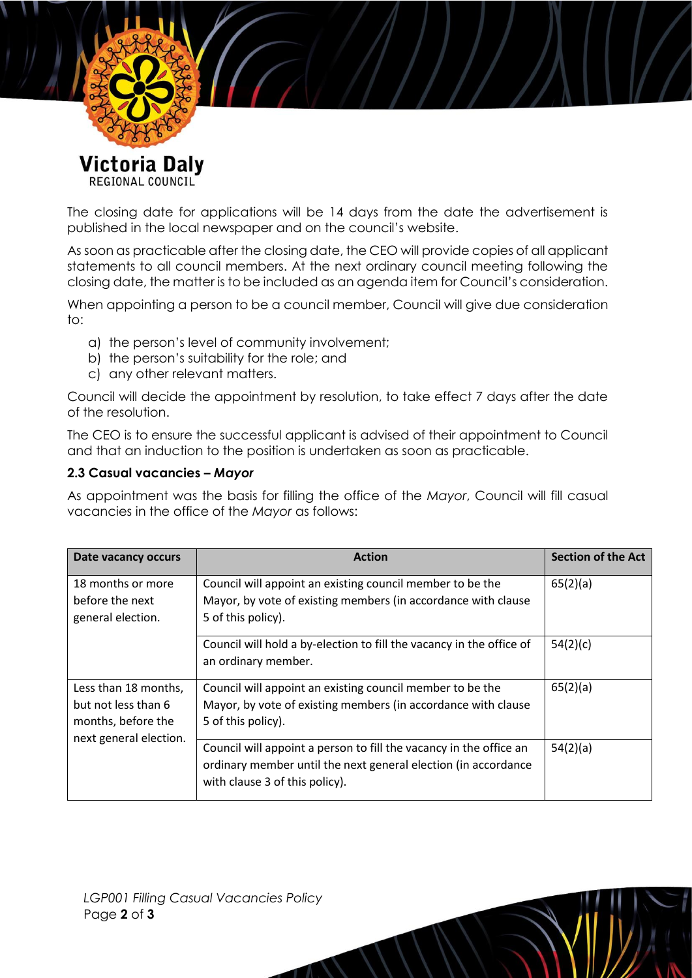

Victoria Daly REGIONAL COUNCIL

The closing date for applications will be 14 days from the date the advertisement is published in the local newspaper and on the council's website.

As soon as practicable after the closing date, the CEO will provide copies of all applicant statements to all council members. At the next ordinary council meeting following the closing date, the matter is to be included as an agenda item for Council's consideration.

When appointing a person to be a council member, Council will give due consideration to:

- a) the person's level of community involvement;
- b) the person's suitability for the role; and
- c) any other relevant matters.

Council will decide the appointment by resolution, to take effect 7 days after the date of the resolution.

The CEO is to ensure the successful applicant is advised of their appointment to Council and that an induction to the position is undertaken as soon as practicable.

### **2.3 Casual vacancies –** *Mayor*

As appointment was the basis for filling the office of the *Mayor*, Council will fill casual vacancies in the office of the *Mayor* as follows:

| Date vacancy occurs                                                                         | <b>Action</b>                                                                                                                                                          | <b>Section of the Act</b> |
|---------------------------------------------------------------------------------------------|------------------------------------------------------------------------------------------------------------------------------------------------------------------------|---------------------------|
| 18 months or more<br>before the next<br>general election.                                   | Council will appoint an existing council member to be the<br>Mayor, by vote of existing members (in accordance with clause<br>5 of this policy).                       | 65(2)(a)                  |
|                                                                                             | Council will hold a by-election to fill the vacancy in the office of<br>an ordinary member.                                                                            | 54(2)(c)                  |
| Less than 18 months,<br>but not less than 6<br>months, before the<br>next general election. | Council will appoint an existing council member to be the<br>Mayor, by vote of existing members (in accordance with clause<br>5 of this policy).                       | 65(2)(a)                  |
|                                                                                             | Council will appoint a person to fill the vacancy in the office an<br>ordinary member until the next general election (in accordance<br>with clause 3 of this policy). | 54(2)(a)                  |